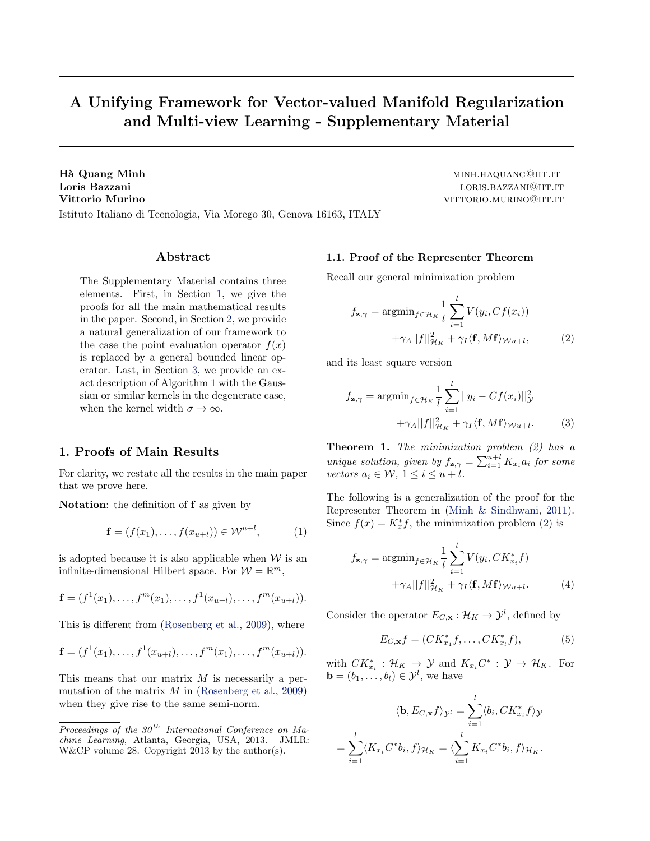# <span id="page-0-0"></span>A Unifying Framework for Vector-valued Manifold Regularization and Multi-view Learning - Supplementary Material

Hà Quang Minh minister of the control of the control of the minister of the minister of the minister of the minister of the minister of the minister of the minister of the minister of the minister of the minister of the mi Loris Bazzani and a state of the state of the state of the state of the state of the state of the state of the state of the state of the state of the state of the state of the state of the state of the state of the state o Vittorio Murino viene viene viene viene viene viene viene viene viene viene viene viene viene viene viene viene v Istituto Italiano di Tecnologia, Via Morego 30, Genova 16163, ITALY

## Abstract

The Supplementary Material contains three elements. First, in Section 1, we give the proofs for all the main mathematical results in the paper. Second, in Section [2,](#page-3-0) we provide a natural generalization of our framework to the case the point evaluation operator  $f(x)$ is replaced by a general bounded linear operator. Last, in Section [3,](#page-4-0) we provide an exact description of Algorithm 1 with the Gaussian or similar kernels in the degenerate case, when the kernel width  $\sigma \to \infty$ .

## 1. Proofs of Main Results

For clarity, we restate all the results in the main paper that we prove here.

Notation: the definition of **f** as given by

$$
\mathbf{f} = (f(x_1), \dots, f(x_{u+l})) \in \mathcal{W}^{u+l}, \tag{1}
$$

is adopted because it is also applicable when  $W$  is an infinite-dimensional Hilbert space. For  $W = \mathbb{R}^m$ ,

$$
\mathbf{f} = (f^1(x_1), \dots, f^m(x_1), \dots, f^1(x_{u+l}), \dots, f^m(x_{u+l})).
$$

This is different from [\(Rosenberg et al.,](#page-4-0) [2009\)](#page-4-0), where

$$
\mathbf{f} = (f^1(x_1), \dots, f^1(x_{u+l}), \dots, f^m(x_1), \dots, f^m(x_{u+l})).
$$

This means that our matrix  $M$  is necessarily a permutation of the matrix  $M$  in [\(Rosenberg et al.,](#page-4-0) [2009\)](#page-4-0) when they give rise to the same semi-norm.

1.1. Proof of the Representer Theorem

Recall our general minimization problem

$$
f_{\mathbf{z},\gamma} = \operatorname{argmin}_{f \in \mathcal{H}_K} \frac{1}{l} \sum_{i=1}^l V(y_i, Cf(x_i)) + \gamma_A ||f||_{\mathcal{H}_K}^2 + \gamma_I \langle \mathbf{f}, M\mathbf{f} \rangle_{\mathcal{W}u+l}, \tag{2}
$$

and its least square version

$$
f_{\mathbf{z},\gamma} = \operatorname{argmin}_{f \in \mathcal{H}_K} \frac{1}{l} \sum_{i=1}^l ||y_i - Cf(x_i)||_{\mathcal{Y}}^2 + \gamma_A ||f||_{\mathcal{H}_K}^2 + \gamma_I \langle \mathbf{f}, M\mathbf{f} \rangle_{\mathcal{W}u + l}.
$$
 (3)

**Theorem 1.** The minimization problem  $(2)$  has a unique solution, given by  $f_{\mathbf{z},\gamma} = \sum_{i=1}^{u+l} K_{x_i} a_i$  for some vectors  $a_i \in \mathcal{W}, 1 \leq i \leq u+l$ .

The following is a generalization of the proof for the Representer Theorem in [\(Minh & Sindhwani,](#page-4-0) [2011\)](#page-4-0). Since  $f(x) = K_x^* f$ , the minimization problem (2) is

$$
f_{\mathbf{z},\gamma} = \operatorname{argmin}_{f \in \mathcal{H}_K} \frac{1}{l} \sum_{i=1}^l V(y_i, CK_{x_i}^* f)
$$

$$
+ \gamma_A ||f||_{\mathcal{H}_K}^2 + \gamma_I \langle \mathbf{f}, M \mathbf{f} \rangle_{\mathcal{W} u + l}.
$$
(4)

Consider the operator  $E_{C,\mathbf{x}} : \mathcal{H}_K \to \mathcal{Y}^l$ , defined by

$$
E_{C,\mathbf{x}}f = (CK_{x_1}^*f, \dots, CK_{x_l}^*f),
$$
 (5)

with  $CK_{x_i}^*$ :  $\mathcal{H}_K \to \mathcal{Y}$  and  $K_{x_i}C^* : \mathcal{Y} \to \mathcal{H}_K$ . For  $\mathbf{b} = (b_1, \ldots, b_l) \in \mathcal{Y}^l$ , we have

$$
\langle \mathbf{b}, E_{C,\mathbf{x}} f \rangle_{\mathcal{Y}^l} = \sum_{i=1}^l \langle b_i, C K_{x_i}^* f \rangle_{\mathcal{Y}}
$$

$$
= \sum_{i=1}^l \langle K_{x_i} C^* b_i, f \rangle_{\mathcal{H}_K} = \langle \sum_{i=1}^l K_{x_i} C^* b_i, f \rangle_{\mathcal{H}_K}.
$$

Proceedings of the  $30<sup>th</sup>$  International Conference on Machine Learning, Atlanta, Georgia, USA, 2013. JMLR: W&CP volume 28. Copyright 2013 by the author(s).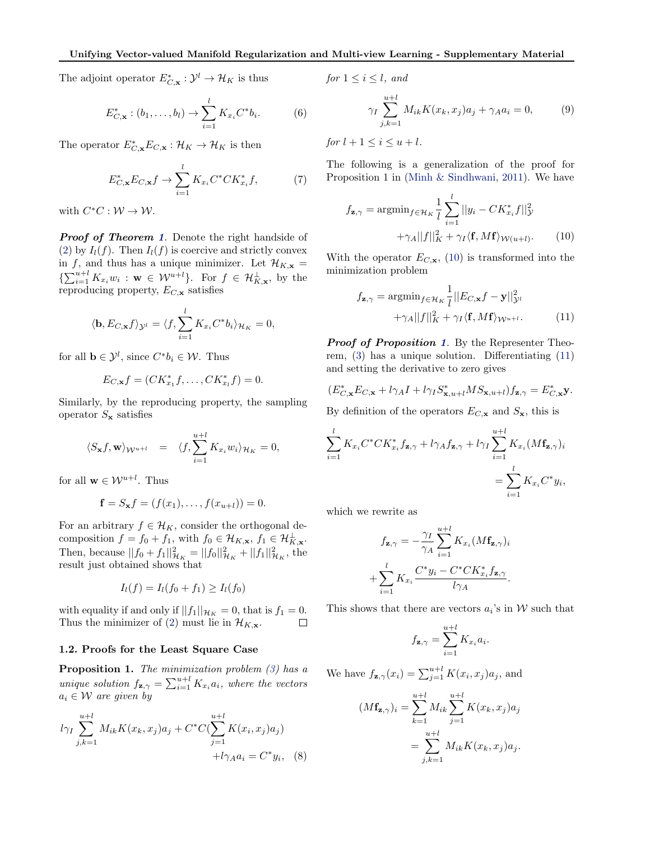<span id="page-1-0"></span>The adjoint operator  $E^*_{C,\mathbf{x}}: \mathcal{Y}^l \to \mathcal{H}_K$  is thus

$$
E_{C,\mathbf{x}}^* : (b_1, \dots, b_l) \to \sum_{i=1}^l K_{x_i} C^* b_i.
$$
 (6)

The operator  $E^*_{C,\mathbf{x}}E_{C,\mathbf{x}}:\mathcal{H}_K\to\mathcal{H}_K$  is then

$$
E_{C,\mathbf{x}}^* E_{C,\mathbf{x}} f \to \sum_{i=1}^l K_{x_i} C^* C K_{x_i}^* f,\tag{7}
$$

with  $C^*C: \mathcal{W} \to \mathcal{W}$ .

**Proof of Theorem [1](#page-0-0).** Denote the right handside of [\(2\)](#page-0-0) by  $I_l(f)$ . Then  $I_l(f)$  is coercive and strictly convex in f, and thus has a unique minimizer. Let  $\mathcal{H}_{K,\mathbf{x}} =$  $\{\sum_{i=1}^{u+l} K_{x_i} w_i : \mathbf{w} \in \mathcal{W}^{u+l}\}.$  For  $f \in \mathcal{H}_{K,\mathbf{x}}^{\perp}$ , by the reproducing property,  $E_{C,\mathbf{x}}$  satisfies

$$
\langle \mathbf{b}, E_{C,\mathbf{x}} f \rangle_{\mathcal{Y}^l} = \langle f, \sum_{i=1}^l K_{x_i} C^* b_i \rangle_{\mathcal{H}_K} = 0,
$$

for all  $\mathbf{b} \in \mathcal{Y}^l$ , since  $C^*b_i \in \mathcal{W}$ . Thus

$$
E_{C,\mathbf{x}}f = (CK_{x_1}^*f, \dots, CK_{x_l}^*f) = 0.
$$

Similarly, by the reproducing property, the sampling operator  $S_{\mathbf{x}}$  satisfies

$$
\langle S_{\mathbf{x}} f, \mathbf{w} \rangle_{\mathcal{W}^{u+l}} = \langle f, \sum_{i=1}^{u+l} K_{x_i} w_i \rangle_{\mathcal{H}_K} = 0,
$$

for all  $\mathbf{w} \in \mathcal{W}^{u+l}$ . Thus

$$
\mathbf{f} = S_{\mathbf{x}} f = (f(x_1), \dots, f(x_{u+l})) = 0.
$$

For an arbitrary  $f \in \mathcal{H}_K$ , consider the orthogonal decomposition  $f = f_0 + f_1$ , with  $f_0 \in \mathcal{H}_{K,\mathbf{x}}$ ,  $f_1 \in \mathcal{H}_{K,\mathbf{x}}^{\perp}$ . Then, because  $||f_0 + f_1||^2_{\mathcal{H}_K} = ||f_0||^2_{\mathcal{H}_K} + ||f_1||^2_{\mathcal{H}_K}$ , the result just obtained shows that

$$
I_l(f) = I_l(f_0 + f_1) \ge I_l(f_0)
$$

with equality if and only if  $||f_1||_{\mathcal{H}_K} = 0$ , that is  $f_1 = 0$ . Thus the minimizer of [\(2\)](#page-0-0) must lie in  $\mathcal{H}_{K,\mathbf{x}}$ .  $\Box$ 

#### 1.2. Proofs for the Least Square Case

**Proposition 1.** The minimization problem  $(3)$  has a unique solution  $f_{\mathbf{z},\gamma} = \sum_{i=1}^{u+l} K_{x_i} a_i$ , where the vectors  $a_i \in \mathcal{W}$  are given by

$$
l\gamma_I \sum_{j,k=1}^{u+l} M_{ik} K(x_k, x_j) a_j + C^* C (\sum_{j=1}^{u+l} K(x_i, x_j) a_j) + l\gamma_A a_i = C^* y_i, \quad (8)
$$

for 
$$
1 \leq i \leq l
$$
, and

$$
\gamma_I \sum_{j,k=1}^{u+l} M_{ik} K(x_k, x_j) a_j + \gamma_A a_i = 0, \qquad (9)
$$

for  $l + 1 \leq i \leq u + l$ .

The following is a generalization of the proof for Proposition 1 in [\(Minh & Sindhwani,](#page-4-0) [2011\)](#page-4-0). We have

$$
f_{\mathbf{z},\gamma} = \operatorname{argmin}_{f \in \mathcal{H}_K} \frac{1}{l} \sum_{i=1}^l ||y_i - CK_{x_i}^* f||_{\mathcal{Y}}^2 + \gamma_A ||f||_K^2 + \gamma_I \langle \mathbf{f}, M\mathbf{f} \rangle_{\mathcal{W}(u+l)}.
$$
 (10)

With the operator  $E_{C,\mathbf{x}}$ , (10) is transformed into the minimization problem

$$
f_{\mathbf{z},\gamma} = \operatorname{argmin}_{f \in \mathcal{H}_K} \frac{1}{l} ||E_{C,\mathbf{x}} f - \mathbf{y}||_{\mathcal{Y}^l}^2 + \gamma_A ||f||_K^2 + \gamma_I \langle \mathbf{f}, M\mathbf{f} \rangle_{\mathcal{W}^{u+l}}.
$$
 (11)

**Proof of Proposition 1.** By the Representer Theorem, [\(3\)](#page-0-0) has a unique solution. Differentiating (11) and setting the derivative to zero gives

$$
(E_{C,\mathbf{x}}^* E_{C,\mathbf{x}} + l\gamma_A I + l\gamma_I S_{\mathbf{x},u+l}^* MS_{\mathbf{x},u+l})f_{\mathbf{z},\gamma} = E_{C,\mathbf{x}}^* \mathbf{y}.
$$

By definition of the operators  $E_{C,\mathbf{x}}$  and  $S_{\mathbf{x}}$ , this is

$$
\sum_{i=1}^{l} K_{x_i} C^* C K_{x_i}^* f_{\mathbf{z}, \gamma} + l \gamma_A f_{\mathbf{z}, \gamma} + l \gamma_I \sum_{i=1}^{u+l} K_{x_i} (M \mathbf{f}_{\mathbf{z}, \gamma})_i
$$

$$
= \sum_{i=1}^{l} K_{x_i} C^* y_i,
$$

which we rewrite as

$$
f_{\mathbf{z},\gamma} = -\frac{\gamma_I}{\gamma_A} \sum_{i=1}^{u+l} K_{x_i} (M\mathbf{f}_{\mathbf{z},\gamma})_i
$$

$$
+ \sum_{i=1}^{l} K_{x_i} \frac{C^* y_i - C^* C K_{x_i}^* f_{\mathbf{z},\gamma}}{l \gamma_A}.
$$

This shows that there are vectors  $a_i$ 's in W such that

$$
f_{\mathbf{z},\gamma} = \sum_{i=1}^{u+l} K_{x_i} a_i.
$$

We have  $f_{\mathbf{z},\gamma}(x_i) = \sum_{j=1}^{u+l} K(x_i,x_j) a_j$ , and

$$
(M\mathbf{f}_{\mathbf{z},\gamma})_i = \sum_{k=1}^{u+l} M_{ik} \sum_{j=1}^{u+l} K(x_k, x_j) a_j
$$
  
= 
$$
\sum_{j,k=1}^{u+l} M_{ik} K(x_k, x_j) a_j.
$$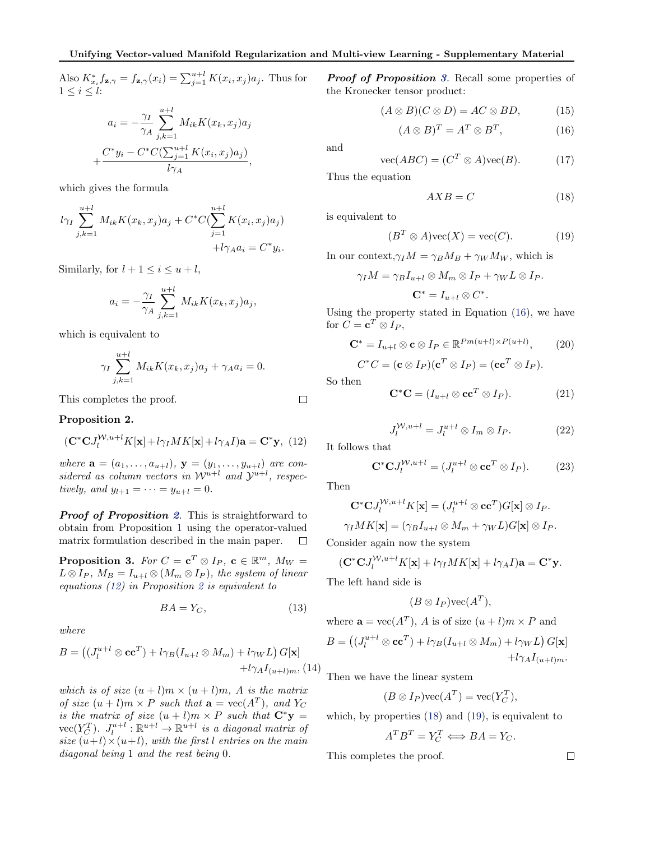<span id="page-2-0"></span>Also  $K_{x_i}^* f_{\mathbf{z}, \gamma} = f_{\mathbf{z}, \gamma}(x_i) = \sum_{j=1}^{u+l} K(x_i, x_j) a_j$ . Thus for  $1 \leq i \leq l$ :

$$
a_i = -\frac{\gamma_I}{\gamma_A} \sum_{j,k=1}^{u+l} M_{ik} K(x_k, x_j) a_j
$$

$$
\frac{C^* y_i - C^* C(\sum_{j=1}^{u+l} K(x_i, x_j) a_j)}{l \gamma_A},
$$

which gives the formula

+

$$
l\gamma_I \sum_{j,k=1}^{u+l} M_{ik} K(x_k, x_j) a_j + C^* C (\sum_{j=1}^{u+l} K(x_i, x_j) a_j) + l\gamma_A a_i = C^* y_i.
$$

Similarly, for  $l + 1 \leq i \leq u + l$ ,

$$
a_i = -\frac{\gamma_I}{\gamma_A} \sum_{j,k=1}^{u+l} M_{ik} K(x_k, x_j) a_j,
$$

which is equivalent to

$$
\gamma_I \sum_{j,k=1}^{u+l} M_{ik} K(x_k, x_j) a_j + \gamma_A a_i = 0.
$$

This completes the proof.

Proposition 2.

$$
(\mathbf{C}^*\mathbf{C}J_l^{W,u+l}K[\mathbf{x}]+l\gamma_I MK[\mathbf{x}]+l\gamma_A I)\mathbf{a}=\mathbf{C}^*\mathbf{y},\ (12)
$$

where  $\mathbf{a} = (a_1, ..., a_{u+l}), \mathbf{y} = (y_1, ..., y_{u+l})$  are considered as column vectors in  $\mathcal{W}^{u+l}$  and  $\mathcal{Y}^{u+l}$ , respectively, and  $y_{l+1} = \cdots = y_{u+l} = 0$ .

**Proof of Proposition 2.** This is straightforward to obtain from Proposition [1](#page-1-0) using the operator-valued matrix formulation described in the main paper.  $\Box$ 

**Proposition 3.** For  $C = \mathbf{c}^T \otimes I_P$ ,  $\mathbf{c} \in \mathbb{R}^m$ ,  $M_W =$  $L \otimes I_P$ ,  $M_B = I_{u+l} \otimes (M_m \otimes I_P)$ , the system of linear equations (12) in Proposition 2 is equivalent to

$$
BA = Y_C,\tag{13}
$$

where

$$
B = ((J_l^{u+l} \otimes \mathbf{cc}^T) + l\gamma_B (I_{u+l} \otimes M_m) + l\gamma_W L) G[\mathbf{x}]
$$
  
+  $l\gamma_A I_{(u+l)m}$ , (14)

which is of size  $(u + l)m \times (u + l)m$ , A is the matrix of size  $(u + l)m \times P$  such that  $\mathbf{a} = \text{vec}(A^T)$ , and  $Y_C$ is the matrix of size  $(u + l)m \times P$  such that  $C^*y =$  $\mathrm{vec}(Y_C^T)$ .  $J_l^{u+l} : \mathbb{R}^{u+l} \to \mathbb{R}^{u+l}$  is a diagonal matrix of size  $(u+l)\times(u+l)$ , with the first l entries on the main diagonal being 1 and the rest being 0.

**Proof of Proposition 3.** Recall some properties of the Kronecker tensor product:

$$
(A \otimes B)(C \otimes D) = AC \otimes BD, \qquad (15)
$$

$$
(A \otimes B)^T = A^T \otimes B^T, \tag{16}
$$

and

$$
\text{vec}(ABC) = (C^T \otimes A)\text{vec}(B). \tag{17}
$$

Thus the equation

$$
AXB = C \tag{18}
$$

is equivalent to

$$
(B^T \otimes A) \text{vec}(X) = \text{vec}(C). \tag{19}
$$

In our context,  $\gamma_I M = \gamma_B M_B + \gamma_W M_W$ , which is

$$
\gamma_I M = \gamma_B I_{u+l} \otimes M_m \otimes I_P + \gamma_W L \otimes I_P.
$$
  

$$
\mathbf{C}^* = I_{u+l} \otimes C^*.
$$

Using the property stated in Equation (16), we have for  $C = \mathbf{c}^T \otimes I_P$ ,

$$
\mathbf{C}^* = I_{u+l} \otimes \mathbf{c} \otimes I_P \in \mathbb{R}^{Pm(u+l)\times P(u+l)},\qquad(20)
$$

$$
C^*C = (\mathbf{c} \otimes I_P)(\mathbf{c}^T \otimes I_P) = (\mathbf{c}\mathbf{c}^T \otimes I_P).
$$

So then

 $\Box$ 

$$
\mathbf{C}^*\mathbf{C} = (I_{u+l} \otimes \mathbf{cc}^T \otimes I_P). \tag{21}
$$

$$
J_l^{\mathcal{W},u+l} = J_l^{u+l} \otimes I_m \otimes I_P. \tag{22}
$$

It follows that

$$
\mathbf{C}^*\mathbf{C}J_l^{\mathcal{W},u+l} = (J_l^{u+l} \otimes \mathbf{cc}^T \otimes I_P). \tag{23}
$$

Then

$$
\mathbf{C}^*\mathbf{C}J_l^{\mathcal{W},u+l}K[\mathbf{x}] = (J_l^{u+l} \otimes \mathbf{cc}^T)G[\mathbf{x}] \otimes I_P.
$$

$$
\gamma_I MK[\mathbf{x}] = (\gamma_B I_{u+l} \otimes M_m + \gamma_W L)G[\mathbf{x}] \otimes I_P.
$$

Consider again now the system

$$
(\mathbf{C}^*\mathbf{C}J_l^{W,u+l}K[\mathbf{x}]+l\gamma_I MK[\mathbf{x}]+l\gamma_A I)\mathbf{a}=\mathbf{C}^*\mathbf{y}.
$$

The left hand side is

$$
(B\otimes I_P)\text{vec}(A^T),
$$

where 
$$
\mathbf{a} = \text{vec}(A^T)
$$
, A is of size  $(u+l)m \times P$  and  
\n
$$
B = ((J_l^{u+l} \otimes \mathbf{cc}^T) + l\gamma_B (I_{u+l} \otimes M_m) + l\gamma_W L) G[\mathbf{x}] + l\gamma_A I_{(u+l)m}.
$$

Then we have the linear system

$$
(B \otimes I_P) \text{vec}(A^T) = \text{vec}(Y_C^T),
$$

which, by properties (18) and (19), is equivalent to

$$
A^T B^T = Y_C^T \Longleftrightarrow BA = Y_C.
$$

This completes the proof.

 $\Box$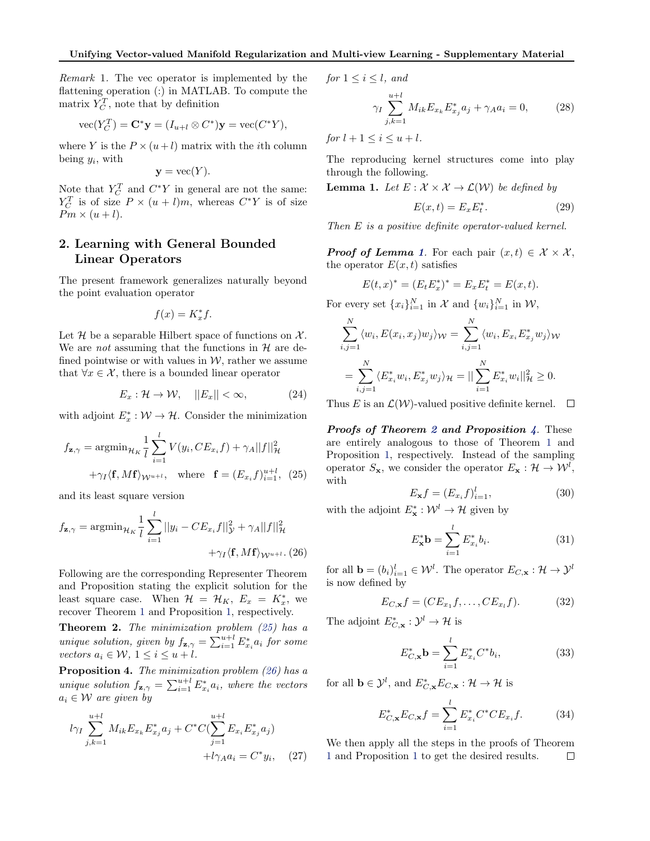<span id="page-3-0"></span>Remark 1. The vec operator is implemented by the flattening operation (:) in MATLAB. To compute the matrix  $Y_C^T$ , note that by definition

$$
\text{vec}(Y_C^T) = \mathbf{C}^* \mathbf{y} = (I_{u+l} \otimes C^*) \mathbf{y} = \text{vec}(C^* Y),
$$

where Y is the  $P \times (u + l)$  matrix with the *i*th column being  $y_i$ , with

$$
y = \text{vec}(Y).
$$

Note that  $Y_C^T$  and  $C^*Y$  in general are not the same:  $Y_C^T$  is of size  $P \times (u+l)m$ , whereas  $C^*Y$  is of size  $Pm \times (u+l).$ 

# 2. Learning with General Bounded Linear Operators

The present framework generalizes naturally beyond the point evaluation operator

$$
f(x) = K_x^* f.
$$

Let  $\mathcal H$  be a separable Hilbert space of functions on  $\mathcal X$ . We are *not* assuming that the functions in  $H$  are defined pointwise or with values in  $W$ , rather we assume that  $\forall x \in \mathcal{X}$ , there is a bounded linear operator

$$
E_x: \mathcal{H} \to \mathcal{W}, \quad ||E_x|| < \infty,\tag{24}
$$

with adjoint  $E_x^* : \mathcal{W} \to \mathcal{H}$ . Consider the minimization

$$
f_{\mathbf{z},\gamma} = \operatorname{argmin}_{\mathcal{H}_K} \frac{1}{l} \sum_{i=1}^l V(y_i, CE_{x_i}f) + \gamma_A ||f||_{\mathcal{H}}^2
$$

$$
+ \gamma_I \langle \mathbf{f}, M\mathbf{f} \rangle_{\mathcal{W}^{u+l}}, \quad \text{where} \quad \mathbf{f} = (E_{x_i}f)_{i=1}^{u+l}, \quad (25)
$$

and its least square version

$$
f_{\mathbf{z},\gamma} = \operatorname{argmin}_{\mathcal{H}_K} \frac{1}{l} \sum_{i=1}^l ||y_i - CE_{x_i}f||_{\mathcal{Y}}^2 + \gamma_A ||f||_{\mathcal{H}}^2 + \gamma_I \langle \mathbf{f}, M\mathbf{f} \rangle_{\mathcal{W}^{u+l}}.
$$
(26)

Following are the corresponding Representer Theorem and Proposition stating the explicit solution for the least square case. When  $\mathcal{H} = \mathcal{H}_K$ ,  $E_x = K_x^*$ , we recover Theorem [1](#page-0-0) and Proposition [1,](#page-1-0) respectively.

**Theorem 2.** The minimization problem  $(25)$  has a unique solution, given by  $f_{\mathbf{z},\gamma} = \sum_{i=1}^{u+l} E_{x_i}^* a_i$  for some vectors  $a_i \in \mathcal{W}$ ,  $1 \leq i \leq u+l$ .

Proposition 4. The minimization problem (26) has a unique solution  $f_{\mathbf{z},\gamma} = \sum_{i=1}^{u+l} E_{x_i}^* a_i$ , where the vectors  $a_i \in \mathcal{W}$  are given by

$$
l\gamma_I \sum_{j,k=1}^{u+l} M_{ik} E_{x_k} E_{x_j}^* a_j + C^* C (\sum_{j=1}^{u+l} E_{x_i} E_{x_j}^* a_j) + l\gamma_A a_i = C^* y_i, \quad (27)
$$

for 
$$
1 \leq i \leq l
$$
, and

$$
\gamma_I \sum_{j,k=1}^{u+l} M_{ik} E_{x_k} E_{x_j}^* a_j + \gamma_A a_i = 0, \qquad (28)
$$

for  $l + 1 \leq i \leq u + l$ .

The reproducing kernel structures come into play through the following.

**Lemma 1.** Let  $E: \mathcal{X} \times \mathcal{X} \rightarrow \mathcal{L}(\mathcal{W})$  be defined by

$$
E(x,t) = E_x E_t^*.
$$
 (29)

Then E is a positive definite operator-valued kernel.

**Proof of Lemma 1.** For each pair  $(x, t) \in \mathcal{X} \times \mathcal{X}$ , the operator  $E(x, t)$  satisfies

$$
E(t, x)^* = (E_t E_x^*)^* = E_x E_t^* = E(x, t).
$$

For every set  $\{x_i\}_{i=1}^N$  in  $\mathcal X$  and  $\{w_i\}_{i=1}^N$  in  $\mathcal W$ ,

$$
\sum_{i,j=1}^{N} \langle w_i, E(x_i, x_j) w_j \rangle_{\mathcal{W}} = \sum_{i,j=1}^{N} \langle w_i, E_{x_i} E_{x_j}^* w_j \rangle_{\mathcal{W}}
$$
  
= 
$$
\sum_{i,j=1}^{N} \langle E_{x_i}^* w_i, E_{x_j}^* w_j \rangle_{\mathcal{H}} = || \sum_{i=1}^{N} E_{x_i}^* w_i ||_{\mathcal{H}}^2 \ge 0.
$$

Thus E is an  $\mathcal{L}(\mathcal{W})$ -valued positive definite kernel.  $\Box$ 

Proofs of Theorem 2 and Proposition 4. These are entirely analogous to those of Theorem [1](#page-0-0) and Proposition [1,](#page-1-0) respectively. Instead of the sampling operator  $S_{\mathbf{x}}$ , we consider the operator  $E_{\mathbf{x}} : \mathcal{H} \to \mathcal{W}^l$ , with

$$
E_{\mathbf{x}}f = (E_{x_i}f)_{i=1}^l,\t\t(30)
$$

with the adjoint  $E^*_{\mathbf{x}} : \mathcal{W}^l \to \mathcal{H}$  given by

$$
E_{\mathbf{x}}^* \mathbf{b} = \sum_{i=1}^l E_{x_i}^* b_i.
$$
 (31)

for all  $\mathbf{b} = (b_i)_{i=1}^l \in \mathcal{W}^l$ . The operator  $E_{C,\mathbf{x}} : \mathcal{H} \to \mathcal{Y}^l$ is now defined by

$$
E_{C,\mathbf{x}}f = (CE_{x_1}f, \dots, CE_{x_l}f). \tag{32}
$$

The adjoint  $E^*_{C,\mathbf{x}}: \mathcal{Y}^l \to \mathcal{H}$  is

$$
E_{C,\mathbf{x}}^* \mathbf{b} = \sum_{i=1}^l E_{x_i}^* C^* b_i, \tag{33}
$$

for all  $\mathbf{b} \in \mathcal{Y}^l$ , and  $E^*_{C,\mathbf{x}}E_{C,\mathbf{x}} : \mathcal{H} \to \mathcal{H}$  is

$$
E_{C,\mathbf{x}}^* E_{C,\mathbf{x}} f = \sum_{i=1}^l E_{x_i}^* C^* C E_{x_i} f.
$$
 (34)

We then apply all the steps in the proofs of Theorem [1](#page-0-0) and Proposition [1](#page-1-0) to get the desired results. $\Box$